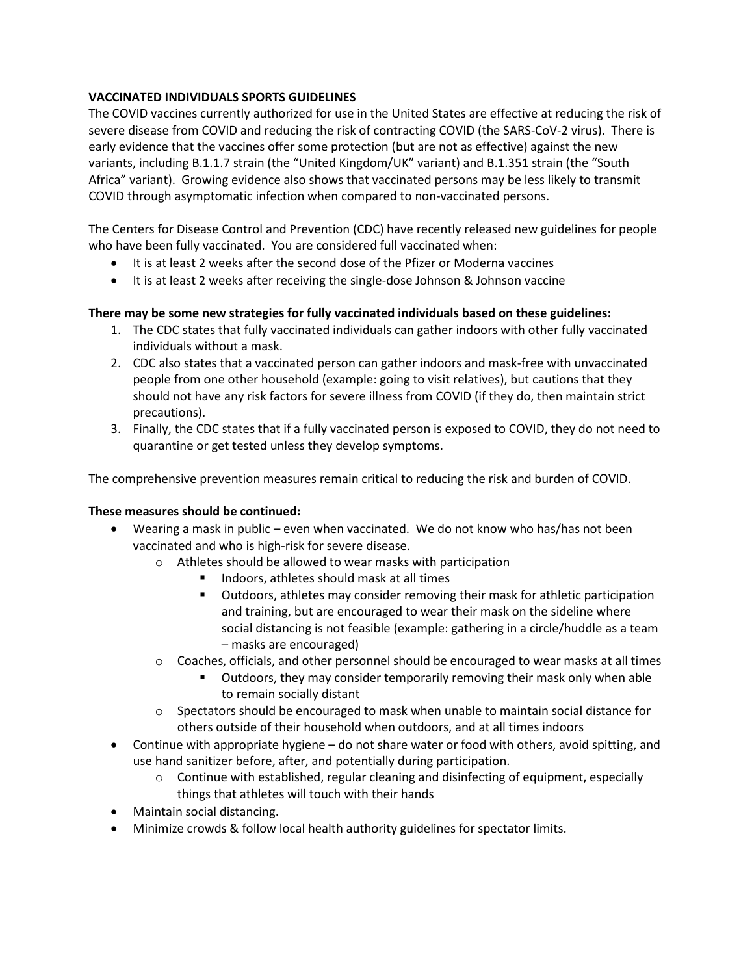# **VACCINATED INDIVIDUALS SPORTS GUIDELINES**

The COVID vaccines currently authorized for use in the United States are effective at reducing the risk of severe disease from COVID and reducing the risk of contracting COVID (the SARS-CoV-2 virus). There is early evidence that the vaccines offer some protection (but are not as effective) against the new variants, including B.1.1.7 strain (the "United Kingdom/UK" variant) and B.1.351 strain (the "South Africa" variant). Growing evidence also shows that vaccinated persons may be less likely to transmit COVID through asymptomatic infection when compared to non-vaccinated persons.

The Centers for Disease Control and Prevention (CDC) have recently released new guidelines for people who have been fully vaccinated. You are considered full vaccinated when:

- It is at least 2 weeks after the second dose of the Pfizer or Moderna vaccines
- It is at least 2 weeks after receiving the single-dose Johnson & Johnson vaccine

# **There may be some new strategies for fully vaccinated individuals based on these guidelines:**

- 1. The CDC states that fully vaccinated individuals can gather indoors with other fully vaccinated individuals without a mask.
- 2. CDC also states that a vaccinated person can gather indoors and mask-free with unvaccinated people from one other household (example: going to visit relatives), but cautions that they should not have any risk factors for severe illness from COVID (if they do, then maintain strict precautions).
- 3. Finally, the CDC states that if a fully vaccinated person is exposed to COVID, they do not need to quarantine or get tested unless they develop symptoms.

The comprehensive prevention measures remain critical to reducing the risk and burden of COVID.

# **These measures should be continued:**

- Wearing a mask in public even when vaccinated. We do not know who has/has not been vaccinated and who is high-risk for severe disease.
	- o Athletes should be allowed to wear masks with participation
		- Indoors, athletes should mask at all times
		- **•** Outdoors, athletes may consider removing their mask for athletic participation and training, but are encouraged to wear their mask on the sideline where social distancing is not feasible (example: gathering in a circle/huddle as a team – masks are encouraged)
	- $\circ$  Coaches, officials, and other personnel should be encouraged to wear masks at all times
		- Outdoors, they may consider temporarily removing their mask only when able to remain socially distant
	- o Spectators should be encouraged to mask when unable to maintain social distance for others outside of their household when outdoors, and at all times indoors
- Continue with appropriate hygiene do not share water or food with others, avoid spitting, and use hand sanitizer before, after, and potentially during participation.
	- $\circ$  Continue with established, regular cleaning and disinfecting of equipment, especially things that athletes will touch with their hands
- Maintain social distancing.
- Minimize crowds & follow local health authority guidelines for spectator limits.